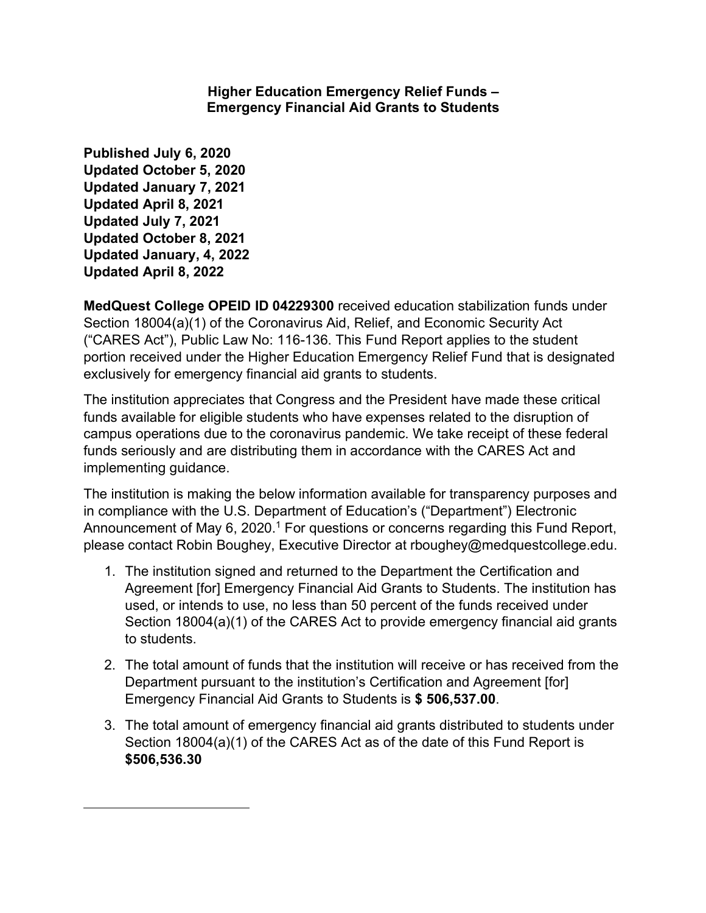### **Higher Education Emergency Relief Funds – Emergency Financial Aid Grants to Students**

**Published July 6, 2020 Updated October 5, 2020 Updated January 7, 2021 Updated April 8, 2021 Updated July 7, 2021 Updated October 8, 2021 Updated January, 4, 2022 Updated April 8, 2022**

**MedQuest College OPEID ID 04229300** received education stabilization funds under Section 18004(a)(1) of the Coronavirus Aid, Relief, and Economic Security Act ("CARES Act"), Public Law No: 116-136. This Fund Report applies to the student portion received under the Higher Education Emergency Relief Fund that is designated exclusively for emergency financial aid grants to students.

The institution appreciates that Congress and the President have made these critical funds available for eligible students who have expenses related to the disruption of campus operations due to the coronavirus pandemic. We take receipt of these federal funds seriously and are distributing them in accordance with the CARES Act and implementing guidance.

The institution is making the below information available for transparency purposes and in compliance with the U.S. Department of Education's ("Department") Electronic Announcement of May 6, 2020.<sup>1</sup> For questions or concerns regarding this Fund Report, please contact Robin Boughey, Executive Director at rboughey@medquestcollege.edu.

- 1. The institution signed and returned to the Department the Certification and Agreement [for] Emergency Financial Aid Grants to Students. The institution has used, or intends to use, no less than 50 percent of the funds received under Section 18004(a)(1) of the CARES Act to provide emergency financial aid grants to students.
- 2. The total amount of funds that the institution will receive or has received from the Department pursuant to the institution's Certification and Agreement [for] Emergency Financial Aid Grants to Students is **\$ 506,537.00**.
- 3. The total amount of emergency financial aid grants distributed to students under Section 18004(a)(1) of the CARES Act as of the date of this Fund Report is **\$506,536.30**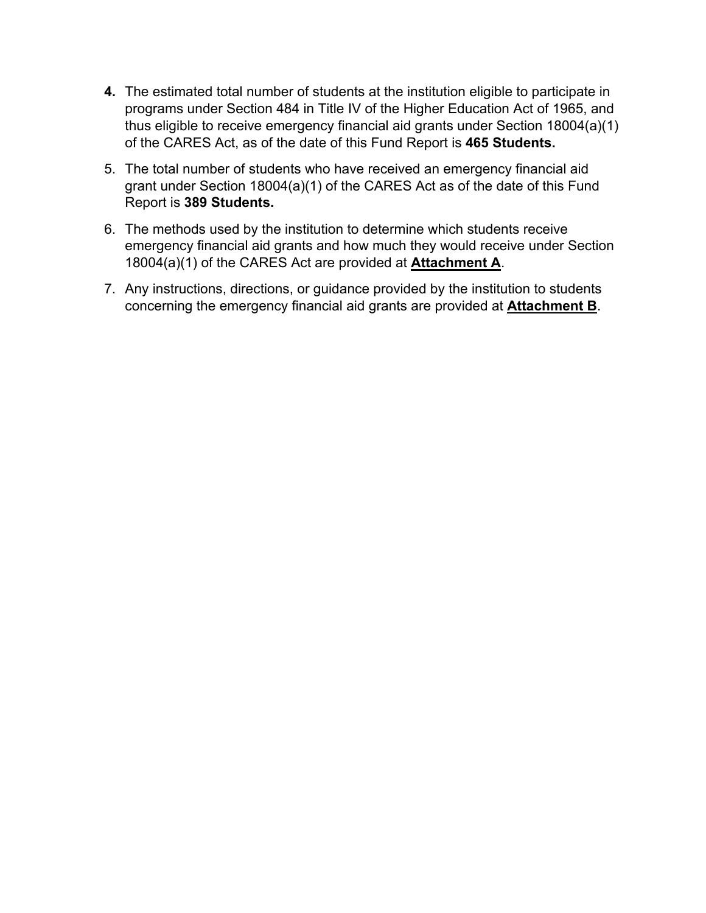- **4.** The estimated total number of students at the institution eligible to participate in programs under Section 484 in Title IV of the Higher Education Act of 1965, and thus eligible to receive emergency financial aid grants under Section 18004(a)(1) of the CARES Act, as of the date of this Fund Report is **465 Students.**
- 5. The total number of students who have received an emergency financial aid grant under Section 18004(a)(1) of the CARES Act as of the date of this Fund Report is **389 Students.**
- 6. The methods used by the institution to determine which students receive emergency financial aid grants and how much they would receive under Section 18004(a)(1) of the CARES Act are provided at **Attachment A**.
- 7. Any instructions, directions, or guidance provided by the institution to students concerning the emergency financial aid grants are provided at **Attachment B**.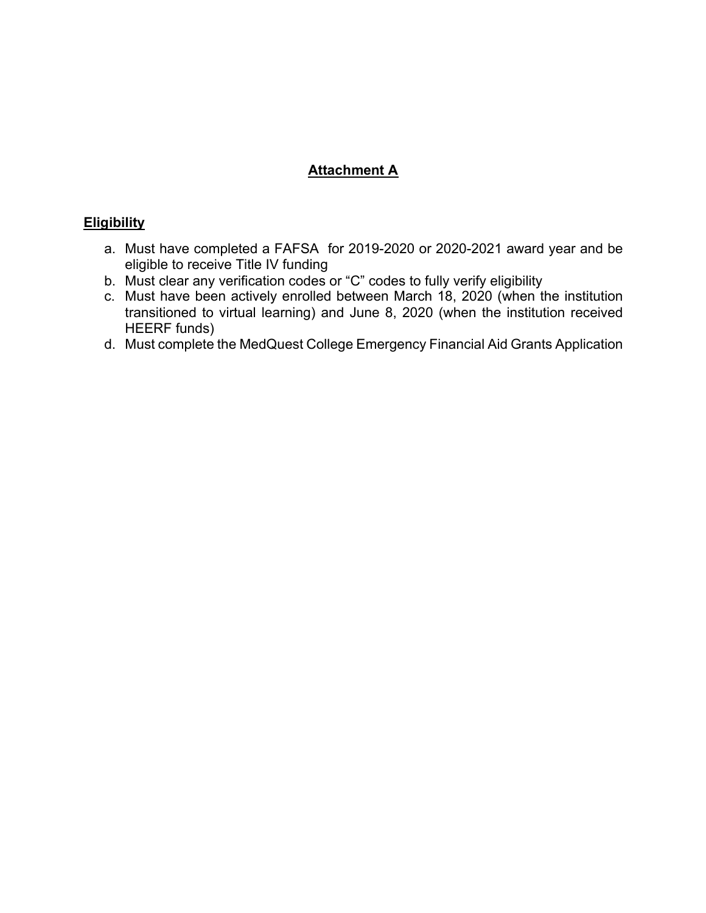# **Attachment A**

### **Eligibility**

- a. Must have completed a FAFSA for 2019-2020 or 2020-2021 award year and be eligible to receive Title IV funding
- b. Must clear any verification codes or "C" codes to fully verify eligibility
- c. Must have been actively enrolled between March 18, 2020 (when the institution transitioned to virtual learning) and June 8, 2020 (when the institution received HEERF funds)
- d. Must complete the MedQuest College Emergency Financial Aid Grants Application